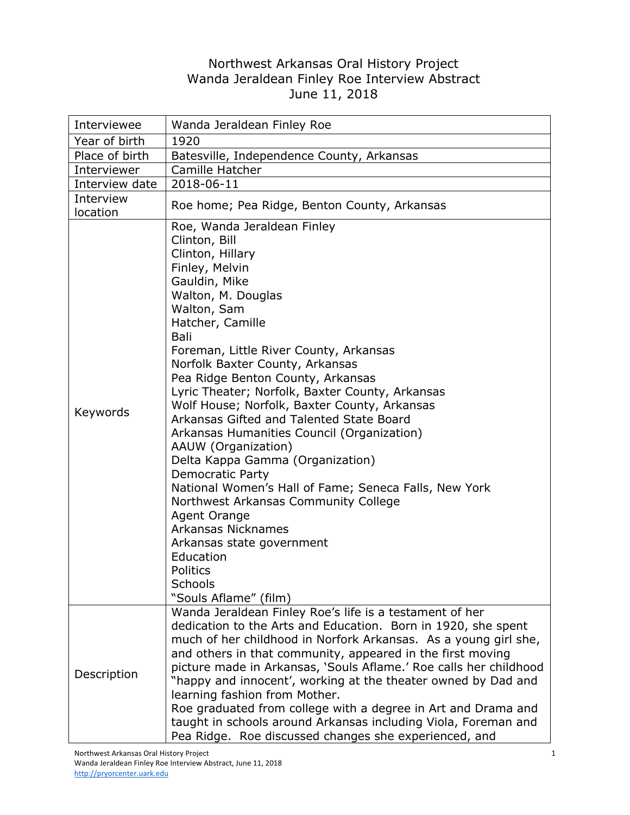## Northwest Arkansas Oral History Project Wanda Jeraldean Finley Roe Interview Abstract June 11, 2018

| Interviewee    | Wanda Jeraldean Finley Roe                                                                                                                                                                                                                                                                                                                                                                                                                                                                                                                                                                                                                                                                                                                                                                                               |
|----------------|--------------------------------------------------------------------------------------------------------------------------------------------------------------------------------------------------------------------------------------------------------------------------------------------------------------------------------------------------------------------------------------------------------------------------------------------------------------------------------------------------------------------------------------------------------------------------------------------------------------------------------------------------------------------------------------------------------------------------------------------------------------------------------------------------------------------------|
| Year of birth  | 1920                                                                                                                                                                                                                                                                                                                                                                                                                                                                                                                                                                                                                                                                                                                                                                                                                     |
| Place of birth | Batesville, Independence County, Arkansas                                                                                                                                                                                                                                                                                                                                                                                                                                                                                                                                                                                                                                                                                                                                                                                |
| Interviewer    | Camille Hatcher                                                                                                                                                                                                                                                                                                                                                                                                                                                                                                                                                                                                                                                                                                                                                                                                          |
| Interview date | 2018-06-11                                                                                                                                                                                                                                                                                                                                                                                                                                                                                                                                                                                                                                                                                                                                                                                                               |
| Interview      | Roe home; Pea Ridge, Benton County, Arkansas                                                                                                                                                                                                                                                                                                                                                                                                                                                                                                                                                                                                                                                                                                                                                                             |
| location       |                                                                                                                                                                                                                                                                                                                                                                                                                                                                                                                                                                                                                                                                                                                                                                                                                          |
| Keywords       | Roe, Wanda Jeraldean Finley<br>Clinton, Bill<br>Clinton, Hillary<br>Finley, Melvin<br>Gauldin, Mike<br>Walton, M. Douglas<br>Walton, Sam<br>Hatcher, Camille<br>Bali<br>Foreman, Little River County, Arkansas<br>Norfolk Baxter County, Arkansas<br>Pea Ridge Benton County, Arkansas<br>Lyric Theater; Norfolk, Baxter County, Arkansas<br>Wolf House; Norfolk, Baxter County, Arkansas<br>Arkansas Gifted and Talented State Board<br>Arkansas Humanities Council (Organization)<br>AAUW (Organization)<br>Delta Kappa Gamma (Organization)<br><b>Democratic Party</b><br>National Women's Hall of Fame; Seneca Falls, New York<br>Northwest Arkansas Community College<br>Agent Orange<br><b>Arkansas Nicknames</b><br>Arkansas state government<br>Education<br><b>Politics</b><br>Schools<br>"Souls Aflame" (film) |
| Description    | Wanda Jeraldean Finley Roe's life is a testament of her<br>dedication to the Arts and Education. Born in 1920, she spent<br>much of her childhood in Norfork Arkansas. As a young girl she,<br>and others in that community, appeared in the first moving<br>picture made in Arkansas, 'Souls Aflame.' Roe calls her childhood<br>"happy and innocent', working at the theater owned by Dad and<br>learning fashion from Mother.<br>Roe graduated from college with a degree in Art and Drama and<br>taught in schools around Arkansas including Viola, Foreman and<br>Pea Ridge. Roe discussed changes she experienced, and                                                                                                                                                                                             |